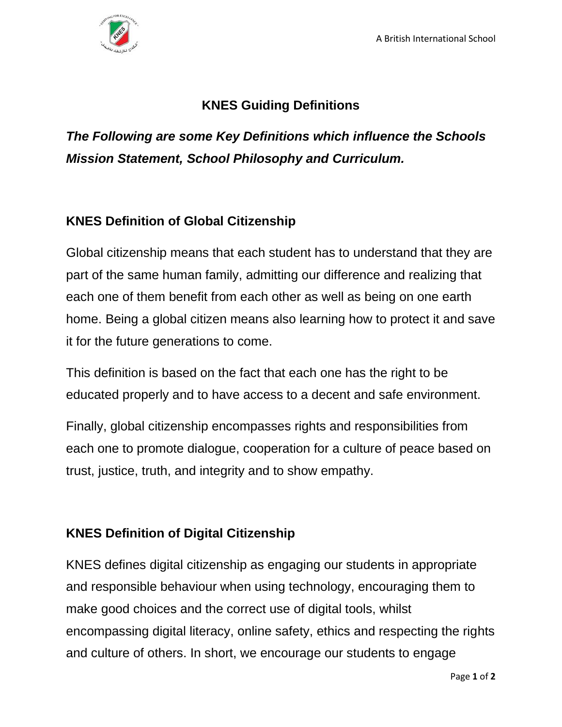

## **KNES Guiding Definitions**

*The Following are some Key Definitions which influence the Schools Mission Statement, School Philosophy and Curriculum.*

## **KNES Definition of Global Citizenship**

Global citizenship means that each student has to understand that they are part of the same human family, admitting our difference and realizing that each one of them benefit from each other as well as being on one earth home. Being a global citizen means also learning how to protect it and save it for the future generations to come.

This definition is based on the fact that each one has the right to be educated properly and to have access to a decent and safe environment.

Finally, global citizenship encompasses rights and responsibilities from each one to promote dialogue, cooperation for a culture of peace based on trust, justice, truth, and integrity and to show empathy.

## **KNES Definition of Digital Citizenship**

KNES defines digital citizenship as engaging our students in appropriate and responsible behaviour when using technology, encouraging them to make good choices and the correct use of digital tools, whilst encompassing digital literacy, online safety, ethics and respecting the rights and culture of others. In short, we encourage our students to engage